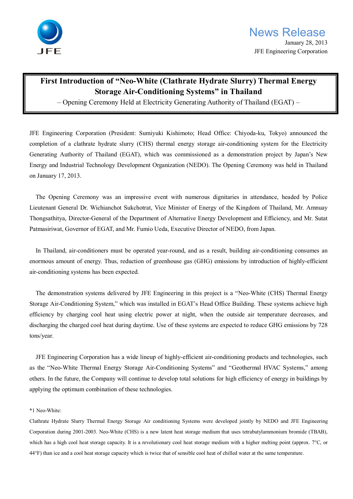

## **First Introduction of "Neo-White (Clathrate Hydrate Slurry) Thermal Energy Storage Air-Conditioning Systems" in Thailand**

– Opening Ceremony Held at Electricity Generating Authority of Thailand (EGAT) –

JFE Engineering Corporation (President: Sumiyuki Kishimoto; Head Office: Chiyoda-ku, Tokyo) announced the completion of a clathrate hydrate slurry (CHS) thermal energy storage air-conditioning system for the Electricity Generating Authority of Thailand (EGAT), which was commissioned as a demonstration project by Japan's New Energy and Industrial Technology Development Organization (NEDO). The Opening Ceremony was held in Thailand on January 17, 2013.

 The Opening Ceremony was an impressive event with numerous dignitaries in attendance, headed by Police Lieutenant General Dr. Wichianchot Sukchotrat, Vice Minister of Energy of the Kingdom of Thailand, Mr. Amnuay Thongsathitya, Director-General of the Department of Alternative Energy Development and Efficiency, and Mr. Sutat Patmasiriwat, Governor of EGAT, and Mr. Fumio Ueda, Executive Director of NEDO, from Japan.

 In Thailand, air-conditioners must be operated year-round, and as a result, building air-conditioning consumes an enormous amount of energy. Thus, reduction of greenhouse gas (GHG) emissions by introduction of highly-efficient air-conditioning systems has been expected.

 The demonstration systems delivered by JFE Engineering in this project is a "Neo-White (CHS) Thermal Energy Storage Air-Conditioning System," which was installed in EGAT's Head Office Building. These systems achieve high efficiency by charging cool heat using electric power at night, when the outside air temperature decreases, and discharging the charged cool heat during daytime. Use of these systems are expected to reduce GHG emissions by 728 tons/year.

 JFE Engineering Corporation has a wide lineup of highly-efficient air-conditioning products and technologies, such as the "Neo-White Thermal Energy Storage Air-Conditioning Systems" and "Geothermal HVAC Systems," among others. In the future, the Company will continue to develop total solutions for high efficiency of energy in buildings by applying the optimum combination of these technologies.

## \*1 Neo-White:

Clathrate Hydrate Slurry Thermal Energy Storage Air conditioning Systems were developed jointly by NEDO and JFE Engineering Corporation during 2001-2003. Neo-White (CHS) is a new latent heat storage medium that uses tetrabutylammonium bromide (TBAB), which has a high cool heat storage capacity. It is a revolutionary cool heat storage medium with a higher melting point (approx. 7°C, or 44°F) than ice and a cool heat storage capacity which is twice that of sensible cool heat of chilled water at the same temperature.